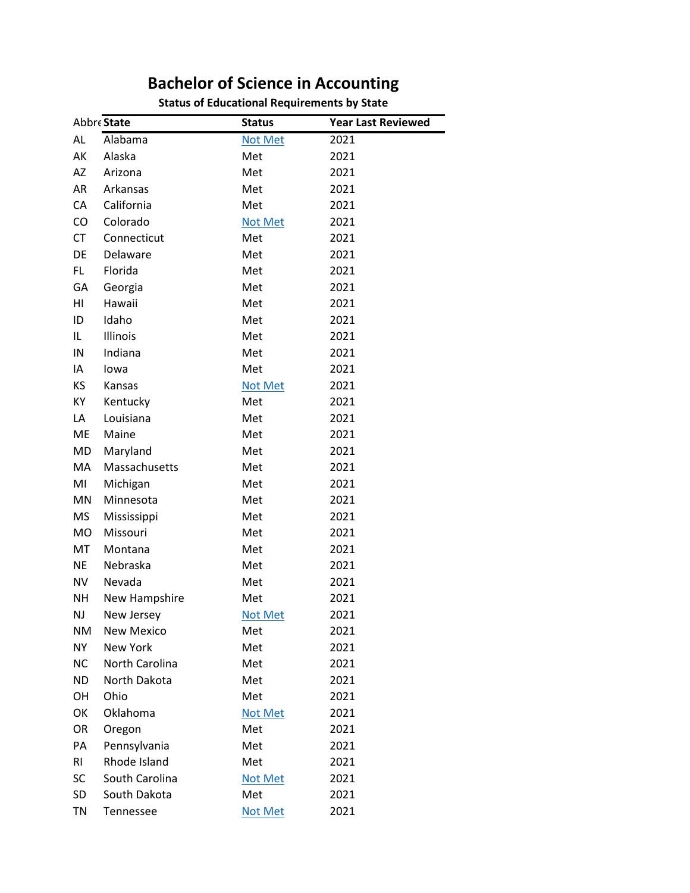## **Bachelor of Science in Accounting**<br>Status of Educational Requirements by State

| <b>Status of Educational Requirements by State</b> |  |
|----------------------------------------------------|--|
|----------------------------------------------------|--|

|           | Abbre State       | <b>Status</b>  | <b>Year Last Reviewed</b> |
|-----------|-------------------|----------------|---------------------------|
| AL        | Alabama           | <b>Not Met</b> | 2021                      |
| AK        | Alaska            | Met            | 2021                      |
| AZ        | Arizona           | Met            | 2021                      |
| AR        | Arkansas          | Met            | 2021                      |
| CA        | California        | Met            | 2021                      |
| CO        | Colorado          | <b>Not Met</b> | 2021                      |
| <b>CT</b> | Connecticut       | Met            | 2021                      |
| DE        | Delaware          | Met            | 2021                      |
| FL.       | Florida           | Met            | 2021                      |
| GA        | Georgia           | Met            | 2021                      |
| HI        | Hawaii            | Met            | 2021                      |
| ID        | Idaho             | Met            | 2021                      |
| IL.       | Illinois          | Met            | 2021                      |
| IN        | Indiana           | Met            | 2021                      |
| ΙA        | lowa              | Met            | 2021                      |
| KS        | Kansas            | <b>Not Met</b> | 2021                      |
| KY        | Kentucky          | Met            | 2021                      |
| LA        | Louisiana         | Met            | 2021                      |
| <b>ME</b> | Maine             | Met            | 2021                      |
| MD        | Maryland          | Met            | 2021                      |
| MA        | Massachusetts     | Met            | 2021                      |
| MI        | Michigan          | Met            | 2021                      |
| MN        | Minnesota         | Met            | 2021                      |
| <b>MS</b> | Mississippi       | Met            | 2021                      |
| MO        | Missouri          | Met            | 2021                      |
| <b>MT</b> | Montana           | Met            | 2021                      |
| <b>NE</b> | Nebraska          | Met            | 2021                      |
| <b>NV</b> | Nevada            | Met            | 2021                      |
| <b>NH</b> | New Hampshire     | Met            | 2021                      |
| NJ        | New Jersey        | <b>Not Met</b> | 2021                      |
| <b>NM</b> | <b>New Mexico</b> | Met            | 2021                      |
| <b>NY</b> | New York          | Met            | 2021                      |
| <b>NC</b> | North Carolina    | Met            | 2021                      |
| <b>ND</b> | North Dakota      | Met            | 2021                      |
| OH        | Ohio              | Met            | 2021                      |
| OK        | Oklahoma          | <b>Not Met</b> | 2021                      |
| OR        | Oregon            | Met            | 2021                      |
| PA        | Pennsylvania      | Met            | 2021                      |
| RI.       | Rhode Island      | Met            | 2021                      |
| SC        | South Carolina    | <b>Not Met</b> | 2021                      |
| SD        | South Dakota      | Met            | 2021                      |
| TN        | Tennessee         | <b>Not Met</b> | 2021                      |